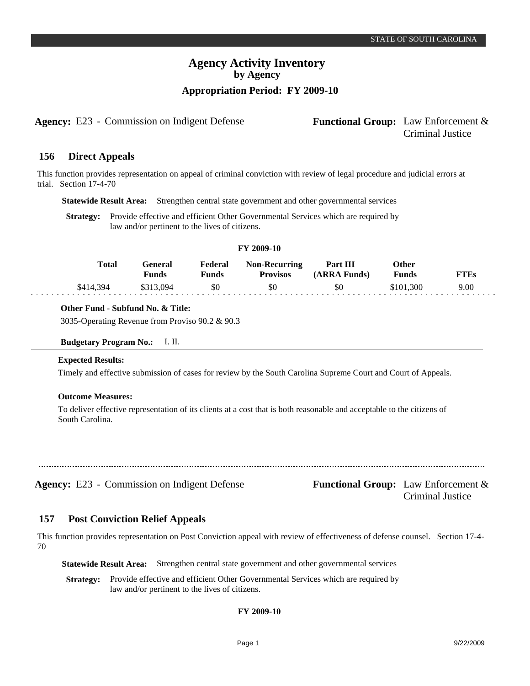**Agency:** E23 - Commission on Indigent Defense **Functional Group:** Law Enforcement &

# Criminal Justice

#### **Direct Appeals 156**

This function provides representation on appeal of criminal conviction with review of legal procedure and judicial errors at trial. Section 17-4-70

**Statewide Result Area:** Strengthen central state government and other governmental services

Strategy: Provide effective and efficient Other Governmental Services which are required by law and/or pertinent to the lives of citizens.

## **FY 2009-10**

| <b>Total</b> | General<br>Funds | Federal<br><b>Tunds</b> | <b>Non-Recurring</b><br><b>Provisos</b> | Part III<br>(ARRA Funds) | <b>Other</b><br><b>Funds</b> | <b>FTEs</b> |
|--------------|------------------|-------------------------|-----------------------------------------|--------------------------|------------------------------|-------------|
| \$414.394    | \$313,094        |                         | 50                                      | \$0                      | \$101.300                    | 9.00        |

#### **Other Fund - Subfund No. & Title:**

3035-Operating Revenue from Proviso 90.2 & 90.3

#### **Budgetary Program No.:** I. II.

#### **Expected Results:**

Timely and effective submission of cases for review by the South Carolina Supreme Court and Court of Appeals.

## **Outcome Measures:**

To deliver effective representation of its clients at a cost that is both reasonable and acceptable to the citizens of South Carolina.

**Agency:** E23 - Commission on Indigent Defense **Functional Group:** Law Enforcement &

Criminal Justice

#### **Post Conviction Relief Appeals 157**

This function provides representation on Post Conviction appeal with review of effectiveness of defense counsel. Section 17-4- 70

**Statewide Result Area:** Strengthen central state government and other governmental services

**Strategy:** Provide effective and efficient Other Governmental Services which are required by law and/or pertinent to the lives of citizens.

## **FY 2009-10**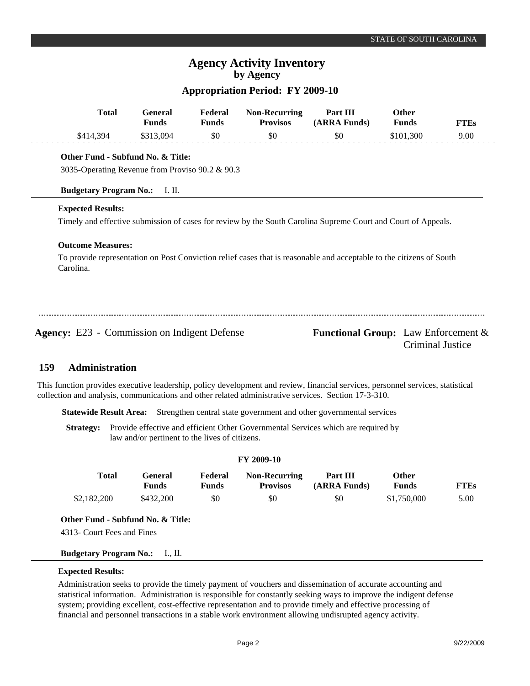## **Appropriation Period: FY 2009-10**

| <b>Total</b>                                                                         | <b>General</b><br><b>Funds</b> | Federal<br><b>Funds</b> | <b>Non-Recurring</b><br><b>Provisos</b> | Part III<br>(ARRA Funds)                                                                                             | <b>Other</b><br><b>Funds</b> | <b>FTEs</b>      |
|--------------------------------------------------------------------------------------|--------------------------------|-------------------------|-----------------------------------------|----------------------------------------------------------------------------------------------------------------------|------------------------------|------------------|
| \$414,394                                                                            | \$313,094                      | \$0                     | \$0                                     | \$0                                                                                                                  | \$101,300                    | 9.00             |
| Other Fund - Subfund No. & Title:<br>3035-Operating Revenue from Proviso 90.2 & 90.3 |                                |                         |                                         |                                                                                                                      |                              |                  |
| <b>Budgetary Program No.:</b>                                                        | I. II.                         |                         |                                         |                                                                                                                      |                              |                  |
| <b>Expected Results:</b><br><b>Outcome Measures:</b>                                 |                                |                         |                                         | Timely and effective submission of cases for review by the South Carolina Supreme Court and Court of Appeals.        |                              |                  |
| Carolina.                                                                            |                                |                         |                                         | To provide representation on Post Conviction relief cases that is reasonable and acceptable to the citizens of South |                              |                  |
| <b>Agency:</b> E23 - Commission on Indigent Defense                                  |                                |                         |                                         | <b>Functional Group:</b> Law Enforcement &                                                                           |                              | Criminal Justice |

#### **Administration 159**

This function provides executive leadership, policy development and review, financial services, personnel services, statistical collection and analysis, communications and other related administrative services. Section 17-3-310.

**Statewide Result Area:** Strengthen central state government and other governmental services

**Strategy:** Provide effective and efficient Other Governmental Services which are required by law and/or pertinent to the lives of citizens.

## **FY 2009-10**

| Total       | General<br>Funds | Federal<br>Funds | <b>Non-Recurring</b><br><b>Provisos</b> | Part III<br>(ARRA Funds) | Other<br>Funds | FTEs |
|-------------|------------------|------------------|-----------------------------------------|--------------------------|----------------|------|
| \$2,182,200 | \$432,200        | \$0              | \$0                                     | \$0                      | \$1,750,000    | 5.00 |

**Other Fund - Subfund No. & Title:**

4313- Court Fees and Fines

## **Budgetary Program No.:** I., II.

#### **Expected Results:**

Administration seeks to provide the timely payment of vouchers and dissemination of accurate accounting and statistical information. Administration is responsible for constantly seeking ways to improve the indigent defense system; providing excellent, cost-effective representation and to provide timely and effective processing of financial and personnel transactions in a stable work environment allowing undisrupted agency activity.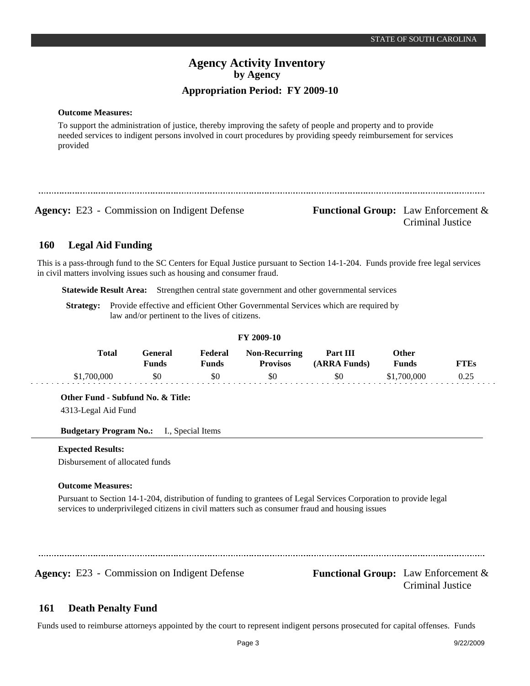#### **Outcome Measures:**

To support the administration of justice, thereby improving the safety of people and property and to provide needed services to indigent persons involved in court procedures by providing speedy reimbursement for services provided

**Agency:** E23 - Commission on Indigent Defense **Functional Group:** Law Enforcement &

Criminal Justice

#### **Legal Aid Funding 160**

This is a pass-through fund to the SC Centers for Equal Justice pursuant to Section 14-1-204. Funds provide free legal services in civil matters involving issues such as housing and consumer fraud.

**Statewide Result Area:** Strengthen central state government and other governmental services

**Strategy:** Provide effective and efficient Other Governmental Services which are required by law and/or pertinent to the lives of citizens.

|                                                                                                                  |                                |                         | FY 2009-10                              |                                            |                |             |
|------------------------------------------------------------------------------------------------------------------|--------------------------------|-------------------------|-----------------------------------------|--------------------------------------------|----------------|-------------|
| <b>Total</b>                                                                                                     | <b>General</b><br><b>Funds</b> | Federal<br><b>Funds</b> | <b>Non-Recurring</b><br><b>Provisos</b> | Part III<br>(ARRA Funds)                   | Other<br>Funds | <b>FTEs</b> |
| \$1,700,000                                                                                                      | \$0                            | \$0                     | \$0                                     | \$0                                        | \$1,700,000    | 0.25        |
| Other Fund - Subfund No. & Title:                                                                                |                                |                         |                                         |                                            |                |             |
| 4313-Legal Aid Fund                                                                                              |                                |                         |                                         |                                            |                |             |
| <b>Budgetary Program No.:</b> I., Special Items                                                                  |                                |                         |                                         |                                            |                |             |
| <b>Expected Results:</b>                                                                                         |                                |                         |                                         |                                            |                |             |
| Disbursement of allocated funds                                                                                  |                                |                         |                                         |                                            |                |             |
| <b>Outcome Measures:</b>                                                                                         |                                |                         |                                         |                                            |                |             |
| Pursuant to Section 14-1-204, distribution of funding to grantees of Legal Services Corporation to provide legal |                                |                         |                                         |                                            |                |             |
| services to underprivileged citizens in civil matters such as consumer fraud and housing issues                  |                                |                         |                                         |                                            |                |             |
|                                                                                                                  |                                |                         |                                         |                                            |                |             |
|                                                                                                                  |                                |                         |                                         |                                            |                |             |
| Agency: E23 - Commission on Indigent Defense                                                                     |                                |                         |                                         |                                            |                |             |
|                                                                                                                  |                                |                         |                                         | <b>Functional Group:</b> Law Enforcement & |                |             |

#### **Death Penalty Fund 161**

Funds used to reimburse attorneys appointed by the court to represent indigent persons prosecuted for capital offenses. Funds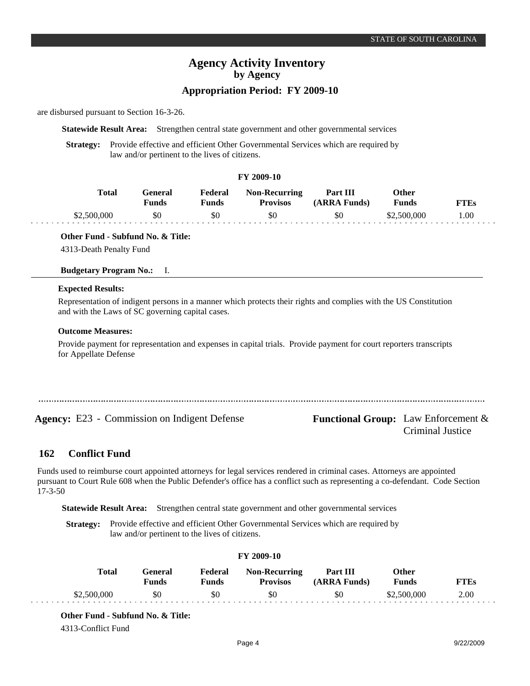# **Appropriation Period: FY 2009-10**

are disbursed pursuant to Section 16-3-26.

**Statewide Result Area:** Strengthen central state government and other governmental services

**Strategy:** Provide effective and efficient Other Governmental Services which are required by law and/or pertinent to the lives of citizens.

## **FY 2009-10**

| Total       | Feneral<br><b>Funds</b> | Federal<br>$T$ unds | <b>Non-Recurring</b><br><b>Provisos</b> | Part III<br>(ARRA Funds) | )ther<br>Funds | <b>FTEs</b> |
|-------------|-------------------------|---------------------|-----------------------------------------|--------------------------|----------------|-------------|
| \$2,500,000 | \$0                     | \$0                 | \$0                                     | \$0                      | \$2,500,000    | .00         |

**Other Fund - Subfund No. & Title:**

4313-Death Penalty Fund

**Budgetary Program No.:** I.

#### **Expected Results:**

Representation of indigent persons in a manner which protects their rights and complies with the US Constitution and with the Laws of SC governing capital cases.

#### **Outcome Measures:**

Provide payment for representation and expenses in capital trials. Provide payment for court reporters transcripts for Appellate Defense

Agency: E23 - Commission on Indigent Defense Functional Group: Law Enforcement &

Criminal Justice

#### **Conflict Fund 162**

Funds used to reimburse court appointed attorneys for legal services rendered in criminal cases. Attorneys are appointed pursuant to Court Rule 608 when the Public Defender's office has a conflict such as representing a co-defendant. Code Section 17-3-50

**Statewide Result Area:** Strengthen central state government and other governmental services

**Strategy:** Provide effective and efficient Other Governmental Services which are required by law and/or pertinent to the lives of citizens.

## **FY 2009-10**

| Total       | General<br>Funds | Federal<br>Funds | Non-Recurring<br><b>Provisos</b> | Part III<br>(ARRA Funds) | Other<br>Funds | <b>FTEs</b> |
|-------------|------------------|------------------|----------------------------------|--------------------------|----------------|-------------|
| \$2,500,000 | \$0              | \$0              | \$0                              | \$0                      | \$2,500,000    | 2.00        |

**Other Fund - Subfund No. & Title:**

4313-Conflict Fund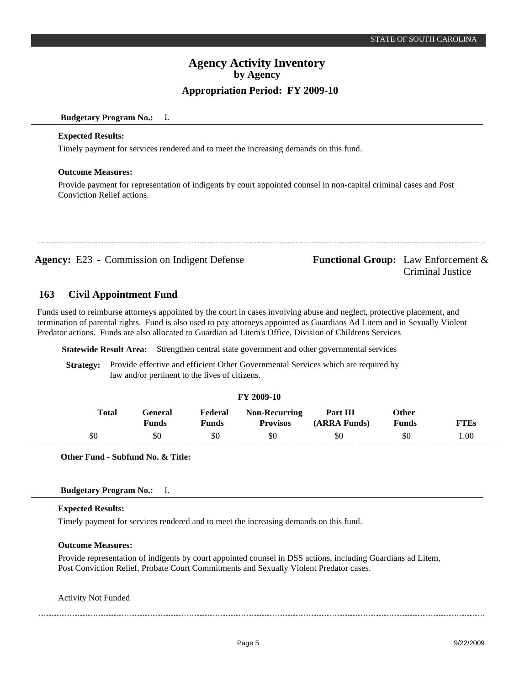## **Budgetary Program No.:** I.

#### **Expected Results:**

Timely payment for services rendered and to meet the increasing demands on this fund.

## **Outcome Measures:**

Provide payment for representation of indigents by court appointed counsel in non-capital criminal cases and Post Conviction Relief actions.

**Agency:** E23 - Commission on Indigent Defense **Functional Group:** Law Enforcement &

# Criminal Justice

#### **Civil Appointment Fund 163**

Funds used to reimburse attorneys appointed by the court in cases involving abuse and neglect, protective placement, and termination of parental rights. Fund is also used to pay attorneys appointed as Guardians Ad Litem and in Sexually Violent Predator actions. Funds are also allocated to Guardian ad Litem's Office, Division of Childrens Services

**Statewide Result Area:** Strengthen central state government and other governmental services

**Strategy:** Provide effective and efficient Other Governmental Services which are required by law and/or pertinent to the lives of citizens.

#### **FY 2009-10**

| Total | Feneral<br><b>Funds</b> | Federal<br>Funds | <b>Non-Recurring</b><br><b>Provisos</b> | Part III<br>(ARRA Funds) | Other<br><b>Funds</b> | <b>FTEs</b> |
|-------|-------------------------|------------------|-----------------------------------------|--------------------------|-----------------------|-------------|
| \$0   | SC                      |                  | \$0                                     | \$0                      | SС                    | .00.        |

**Other Fund - Subfund No. & Title:**

## **Budgetary Program No.:** I.

#### **Expected Results:**

Timely payment for services rendered and to meet the increasing demands on this fund.

#### **Outcome Measures:**

Provide representation of indigents by court appointed counsel in DSS actions, including Guardians ad Litem, Post Conviction Relief, Probate Court Commitments and Sexually Violent Predator cases.

Activity Not Funded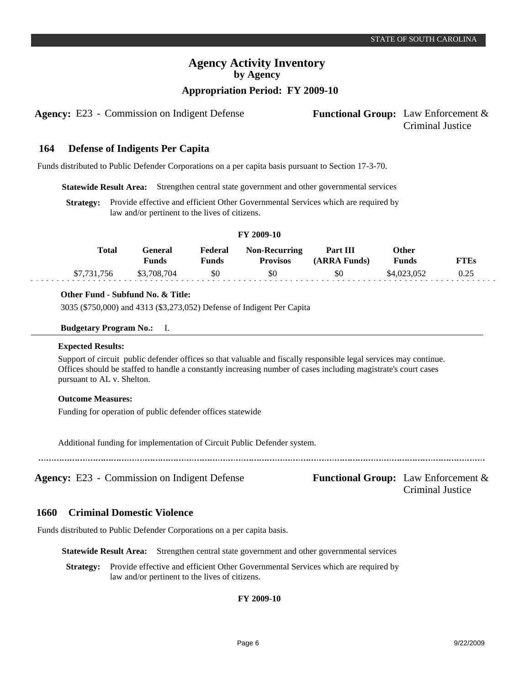# **Appropriation Period: FY 2009-10**

Agency: E23 - Commission on Indigent Defense Functional Group: Law Enforcement &

#### **Defense of Indigents Per Capita 164**

Funds distributed to Public Defender Corporations on a per capita basis pursuant to Section 17-3-70.

**Statewide Result Area:** Strengthen central state government and other governmental services

**Strategy:** Provide effective and efficient Other Governmental Services which are required by law and/or pertinent to the lives of citizens.

#### **FY 2009-10**

| Total       | General<br>Funds | Federal<br><b>Funds</b> | <b>Non-Recurring</b><br><b>Provisos</b> | Part III<br>(ARRA Funds) | Other<br>Funds | FTEs |
|-------------|------------------|-------------------------|-----------------------------------------|--------------------------|----------------|------|
| \$7,731,756 | \$3,708,704      | \$0                     | \$0                                     | \$0                      | \$4,023,052    | 0.25 |

#### **Other Fund - Subfund No. & Title:**

3035 (\$750,000) and 4313 (\$3,273,052) Defense of Indigent Per Capita

#### **Budgetary Program No.:** I.

## **Expected Results:**

Support of circuit public defender offices so that valuable and fiscally responsible legal services may continue. Offices should be staffed to handle a constantly increasing number of cases including magistrate's court cases pursuant to AL v. Shelton.

#### **Outcome Measures:**

Funding for operation of public defender offices statewide

Additional funding for implementation of Circuit Public Defender system.

**Agency:** E23 - Commission on Indigent Defense **Functional Group:** Law Enforcement &

Criminal Justice

#### **Criminal Domestic Violence 1660**

Funds distributed to Public Defender Corporations on a per capita basis.

**Statewide Result Area:** Strengthen central state government and other governmental services

**Strategy:** Provide effective and efficient Other Governmental Services which are required by law and/or pertinent to the lives of citizens.

## **FY 2009-10**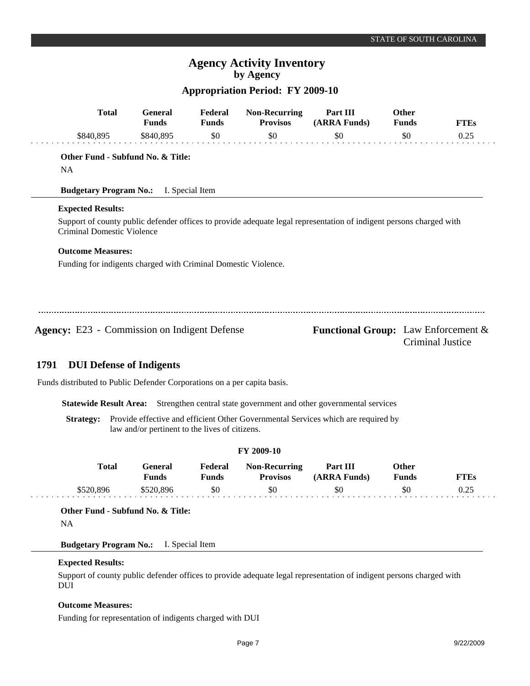## **Appropriation Period: FY 2009-10**

| <b>Total</b>                                        | <b>General</b><br><b>Funds</b>                                 | Federal<br><b>Funds</b> | <b>Non-Recurring</b><br><b>Provisos</b> | Part III<br>(ARRA Funds)                                                                                            | <b>Other</b><br><b>Funds</b> | <b>FTEs</b>      |
|-----------------------------------------------------|----------------------------------------------------------------|-------------------------|-----------------------------------------|---------------------------------------------------------------------------------------------------------------------|------------------------------|------------------|
| \$840,895                                           | \$840,895                                                      | \$0                     | \$0                                     | \$0                                                                                                                 | \$0                          | 0.25             |
|                                                     | Other Fund - Subfund No. & Title:                              |                         |                                         |                                                                                                                     |                              |                  |
| <b>NA</b>                                           |                                                                |                         |                                         |                                                                                                                     |                              |                  |
|                                                     | <b>Budgetary Program No.:</b> I. Special Item                  |                         |                                         |                                                                                                                     |                              |                  |
| <b>Expected Results:</b>                            |                                                                |                         |                                         |                                                                                                                     |                              |                  |
| Criminal Domestic Violence                          |                                                                |                         |                                         | Support of county public defender offices to provide adequate legal representation of indigent persons charged with |                              |                  |
| <b>Outcome Measures:</b>                            |                                                                |                         |                                         |                                                                                                                     |                              |                  |
|                                                     | Funding for indigents charged with Criminal Domestic Violence. |                         |                                         |                                                                                                                     |                              |                  |
|                                                     |                                                                |                         |                                         |                                                                                                                     |                              |                  |
|                                                     |                                                                |                         |                                         |                                                                                                                     |                              |                  |
| <b>Agency:</b> E23 - Commission on Indigent Defense |                                                                |                         |                                         | <b>Functional Group:</b> Law Enforcement &                                                                          |                              | Criminal Justice |
| 1791                                                | <b>DUI Defense of Indigents</b>                                |                         |                                         |                                                                                                                     |                              |                  |

Funds distributed to Public Defender Corporations on a per capita basis.

**Statewide Result Area:** Strengthen central state government and other governmental services

Strategy: Provide effective and efficient Other Governmental Services which are required by law and/or pertinent to the lives of citizens.

| <b>FY 2009-10</b> |                         |                  |                                         |                          |                       |             |  |  |  |
|-------------------|-------------------------|------------------|-----------------------------------------|--------------------------|-----------------------|-------------|--|--|--|
| Total             | General<br><b>Funds</b> | Federal<br>Funds | <b>Non-Recurring</b><br><b>Provisos</b> | Part III<br>(ARRA Funds) | <b>Other</b><br>Funds | <b>FTEs</b> |  |  |  |
| \$520.896         | \$520.896               | \$0              | \$0                                     | \$0                      | \$0                   | 0.25        |  |  |  |

**Other Fund - Subfund No. & Title:**

NA

**Budgetary Program No.:** I. Special Item

#### **Expected Results:**

Support of county public defender offices to provide adequate legal representation of indigent persons charged with DUI

## **Outcome Measures:**

Funding for representation of indigents charged with DUI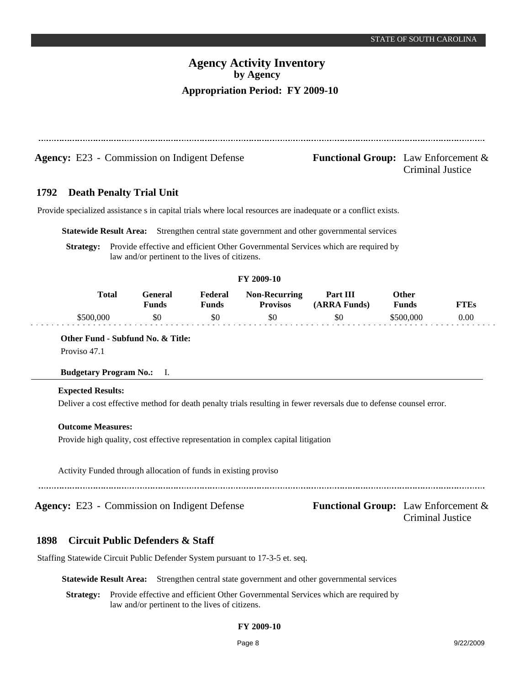| <b>Agency:</b> E23 - Commission on Indigent Defense | <b>Functional Group:</b> Law Enforcement $\&$<br><b>Criminal Justice</b> |
|-----------------------------------------------------|--------------------------------------------------------------------------|

#### **Death Penalty Trial Unit 1792**

Provide specialized assistance s in capital trials where local resources are inadequate or a conflict exists.

**Statewide Result Area:** Strengthen central state government and other governmental services

**Strategy:** Provide effective and efficient Other Governmental Services which are required by law and/or pertinent to the lives of citizens.

#### **FY 2009-10**

| Total    | ÷eneral<br>Funds | Federal<br>Funds | <b>Non-Recurring</b><br><b>Provisos</b> | Part III<br>(ARRA Funds) | Other<br>Funds | TTEs     |
|----------|------------------|------------------|-----------------------------------------|--------------------------|----------------|----------|
| 3500 000 |                  | \$0              |                                         | \$0                      | :500.000       | $0.00\,$ |

**Other Fund - Subfund No. & Title:** Proviso 47.1

## **Budgetary Program No.:** I.

#### **Expected Results:**

Deliver a cost effective method for death penalty trials resulting in fewer reversals due to defense counsel error.

#### **Outcome Measures:**

Provide high quality, cost effective representation in complex capital litigation

Activity Funded through allocation of funds in existing proviso

#### **Circuit Public Defenders & Staff 1898**

Staffing Statewide Circuit Public Defender System pursuant to 17-3-5 et. seq.

**Statewide Result Area:** Strengthen central state government and other governmental services

**Strategy:** Provide effective and efficient Other Governmental Services which are required by law and/or pertinent to the lives of citizens.

#### **FY 2009-10**

**Agency:** E23 - Commission on Indigent Defense Functional Group: Law Enforcement & Criminal Justice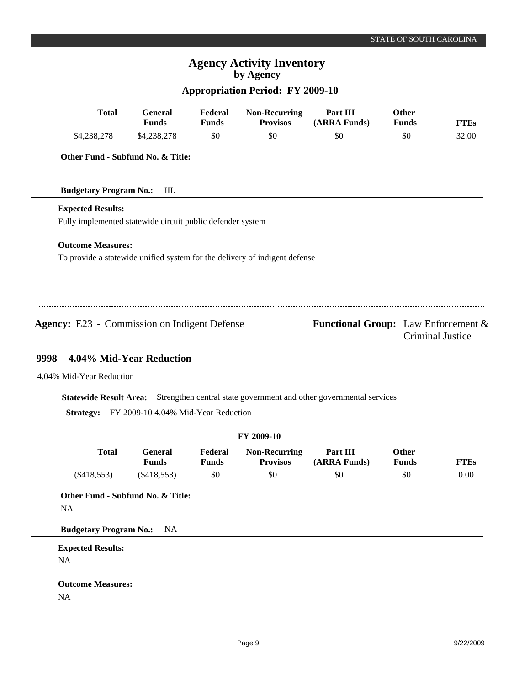# **Appropriation Period: FY 2009-10**

| \$0<br>\$0<br>\$4,238,278<br>\$4,238,278<br>\$0<br>\$0<br>32.00<br>Other Fund - Subfund No. & Title:<br><b>Budgetary Program No.:</b><br>Ш.<br><b>Expected Results:</b><br>Fully implemented statewide circuit public defender system<br><b>Outcome Measures:</b><br>To provide a statewide unified system for the delivery of indigent defense<br><b>Agency:</b> E23 - Commission on Indigent Defense<br><b>Functional Group:</b> Law Enforcement &<br>Criminal Justice<br>4.04% Mid-Year Reduction<br>9998<br>4.04% Mid-Year Reduction<br>Statewide Result Area: Strengthen central state government and other governmental services |  |  |  |  |
|----------------------------------------------------------------------------------------------------------------------------------------------------------------------------------------------------------------------------------------------------------------------------------------------------------------------------------------------------------------------------------------------------------------------------------------------------------------------------------------------------------------------------------------------------------------------------------------------------------------------------------------|--|--|--|--|
|                                                                                                                                                                                                                                                                                                                                                                                                                                                                                                                                                                                                                                        |  |  |  |  |
|                                                                                                                                                                                                                                                                                                                                                                                                                                                                                                                                                                                                                                        |  |  |  |  |
|                                                                                                                                                                                                                                                                                                                                                                                                                                                                                                                                                                                                                                        |  |  |  |  |
|                                                                                                                                                                                                                                                                                                                                                                                                                                                                                                                                                                                                                                        |  |  |  |  |
|                                                                                                                                                                                                                                                                                                                                                                                                                                                                                                                                                                                                                                        |  |  |  |  |
|                                                                                                                                                                                                                                                                                                                                                                                                                                                                                                                                                                                                                                        |  |  |  |  |
|                                                                                                                                                                                                                                                                                                                                                                                                                                                                                                                                                                                                                                        |  |  |  |  |
|                                                                                                                                                                                                                                                                                                                                                                                                                                                                                                                                                                                                                                        |  |  |  |  |
|                                                                                                                                                                                                                                                                                                                                                                                                                                                                                                                                                                                                                                        |  |  |  |  |
|                                                                                                                                                                                                                                                                                                                                                                                                                                                                                                                                                                                                                                        |  |  |  |  |
|                                                                                                                                                                                                                                                                                                                                                                                                                                                                                                                                                                                                                                        |  |  |  |  |
|                                                                                                                                                                                                                                                                                                                                                                                                                                                                                                                                                                                                                                        |  |  |  |  |
|                                                                                                                                                                                                                                                                                                                                                                                                                                                                                                                                                                                                                                        |  |  |  |  |
|                                                                                                                                                                                                                                                                                                                                                                                                                                                                                                                                                                                                                                        |  |  |  |  |
|                                                                                                                                                                                                                                                                                                                                                                                                                                                                                                                                                                                                                                        |  |  |  |  |
| FY 2009-10 4.04% Mid-Year Reduction<br><b>Strategy:</b>                                                                                                                                                                                                                                                                                                                                                                                                                                                                                                                                                                                |  |  |  |  |
| FY 2009-10                                                                                                                                                                                                                                                                                                                                                                                                                                                                                                                                                                                                                             |  |  |  |  |
| <b>Total</b><br>Part III<br><b>Other</b><br>General<br>Federal<br><b>Non-Recurring</b><br><b>Funds</b><br><b>Funds</b><br><b>Provisos</b><br>(ARRA Funds)<br><b>Funds</b><br><b>FTEs</b>                                                                                                                                                                                                                                                                                                                                                                                                                                               |  |  |  |  |
| \$0<br>0.00<br>$(\$418,553)$<br>\$0<br>\$0<br>\$0<br>$(\$418,553)$                                                                                                                                                                                                                                                                                                                                                                                                                                                                                                                                                                     |  |  |  |  |
| Other Fund - Subfund No. & Title:                                                                                                                                                                                                                                                                                                                                                                                                                                                                                                                                                                                                      |  |  |  |  |
| NA                                                                                                                                                                                                                                                                                                                                                                                                                                                                                                                                                                                                                                     |  |  |  |  |
| <b>Budgetary Program No.:</b><br>NA                                                                                                                                                                                                                                                                                                                                                                                                                                                                                                                                                                                                    |  |  |  |  |
| <b>Expected Results:</b>                                                                                                                                                                                                                                                                                                                                                                                                                                                                                                                                                                                                               |  |  |  |  |
| NA                                                                                                                                                                                                                                                                                                                                                                                                                                                                                                                                                                                                                                     |  |  |  |  |
| <b>Outcome Measures:</b>                                                                                                                                                                                                                                                                                                                                                                                                                                                                                                                                                                                                               |  |  |  |  |
| NA                                                                                                                                                                                                                                                                                                                                                                                                                                                                                                                                                                                                                                     |  |  |  |  |